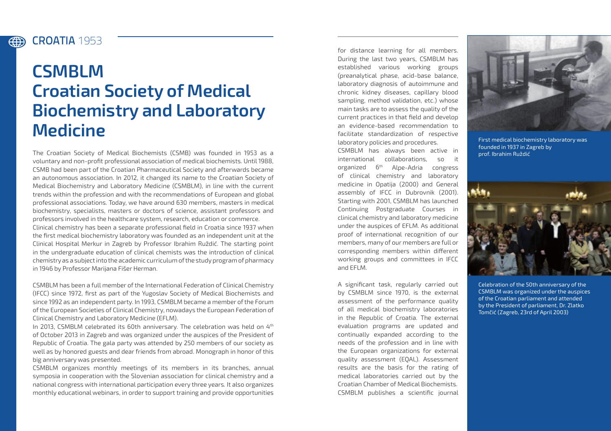## CROATIA **1953** (#)

## **CSMBLM Croatian Society of Medical Biochemistry and Laboratory Medicine**

The Croatian Society of Medical Biochemists (CSMB) was founded in 1953 as a voluntary and non-profit professional association of medical biochemists. Until 1988, CSMB had been part of the Croatian Pharmaceutical Society and afterwards became an autonomous association. In 2012, it changed its name to the Croatian Society of Medical Biochemistry and Laboratory Medicine (CSMBLM), in line with the current trends within the profession and with the recommendations of European and global professional associations. Today, we have around 630 members, masters in medical biochemistry, specialists, masters or doctors of science, assistant professors and professors involved in the healthcare system, research, education or commerce. Clinical chemistry has been a separate professional field in Croatia since 1937 when the first medical biochemistry laboratory was founded as an independent unit at the Clinical Hospital Merkur in Zagreb by Professor Ibrahim Ruždić. The starting point in the undergraduate education of clinical chemists was the introduction of clinical chemistry as a subject into the academic curriculum of the study program of pharmacy in 1946 by Professor Marijana Fišer Herman.

CSMBLM has been a full member of the International Federation of Clinical Chemistry (IFCC) since 1972, first as part of the Yugoslav Society of Medical Biochemists and since 1992 as an independent party. In 1993, CSMBLM became a member of the Forum of the European Societies of Clinical Chemistry, nowadays the European Federation of Clinical Chemistry and Laboratory Medicine (EFLM).

In 2013, CSMBLM celebrated its 60th anniversary. The celebration was held on  $4<sup>th</sup>$ of October 2013 in Zagreb and was organized under the auspices of the President of Republic of Croatia. The gala party was attended by 250 members of our society as well as by honored guests and dear friends from abroad. Monograph in honor of this big anniversary was presented.

CSMBLM organizes monthly meetings of its members in its branches, annual symposia in cooperation with the Slovenian association for clinical chemistry and a national congress with international participation every three years. It also organizes monthly educational webinars, in order to support training and provide opportunities

for distance learning for all members. During the last two years, CSMBLM has established various working groups (preanalytical phase, acid-base balance, laboratory diagnosis of autoimmune and chronic kidney diseases, capillary blood sampling, method validation, etc.) whose main tasks are to assess the quality of the current practices in that field and develop an evidence-based recommendation to facilitate standardization of respective laboratory policies and procedures.

CSMBLM has always been active in international collaborations, so it organized 6th Alpe-Adria congress of clinical chemistry and laboratory medicine in Opatija (2000) and General assembly of IFCC in Dubrovnik (2001). Starting with 2001, CSMBLM has launched Continuing Postgraduate Courses in clinical chemistry and laboratory medicine under the auspices of EFLM. As additional proof of international recognition of our members, many of our members are full or corresponding members within different working groups and committees in IFCC and EFLM.

A significant task, regularly carried out by CSMBLM since 1970, is the external assessment of the performance quality of all medical biochemistry laboratories in the Republic of Croatia. The external evaluation programs are updated and continually expanded according to the needs of the profession and in line with the European organizations for external quality assessment (EQAL). Assessment results are the basis for the rating of medical laboratories carried out by the Croatian Chamber of Medical Biochemists. CSMBLM publishes a scientific journal



First medical biochemistry laboratory was founded in 1937 in Zagreb by prof. Ibrahim Ruždić



Celebration of the 50th anniversary of the CSMBLM was organized under the auspices of the Croatian parliament and attended by the President of parliament, Dr. Zlatko Tomčić (Zagreb, 23rd of April 2003)